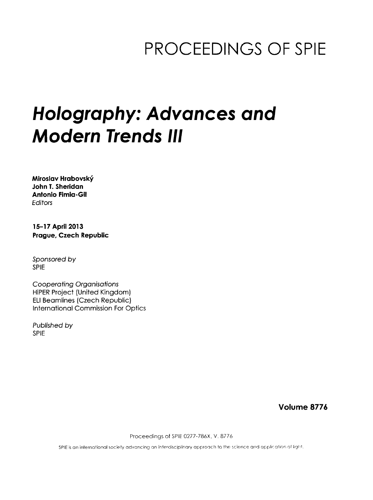## PROCEEDINGS OF SPIE

# Holography: Advances and Modern Trends III

Miroslav Hrabovsky John T. Sheridan Antonio Fimia-Gil **Editors** 

15-17 April 2013 Prague, Czech Republic

Sponsored by SPIE

Cooperating Organisations HiPER Project (United Kingdom) ELI Beamlines (Czech Republic) International Commission For Optics

Published by SPIE

Volume 8776

Proceedings of SPIE 0277-786X, V. 8776

SPIE is an international society advancing an interdisciplinary approach to the science and application of light.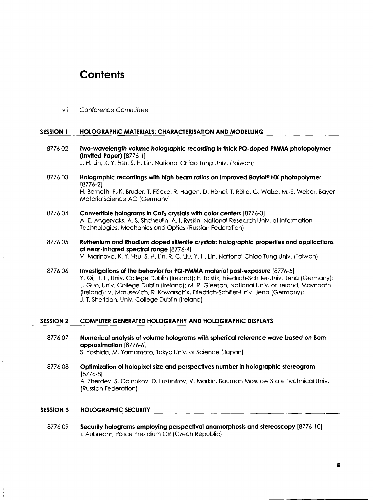### **Contents**

vii Conference Commitfee

#### SESSION <sup>1</sup> HOLOGRAPHIC MATERIALS: CHARACTERISATION AND MODELLING

- <sup>8776</sup> <sup>02</sup> Two-wavelength volume holographic recording in thick PQ-doped PMMA photopolymer (Invited Paper) [8776-1] J. H. Lin, K. Y. Hsu, S. H. Lin, National Chiao Tung Univ. (Taiwan)
- 8776 03 Holographic recordings with high beam ratios on improved Bayfol® HX photopolymer [8776-2] H. Berneth, F.-K. Bruder, T. Fäcke, R. Hagen, D. Hönel, T. Rölle, G. Walze, M.-S. Weiser, Bayer MaterialScience AG (Germany)
- 8776 04 Convertible holograms in CaF2 crystals with color centers [8776-3] A. E. Angervaks, A. S. Shcheulin, A. I. Ryskin, National Research Univ. of Information Technologies, Mechanics and Optics (Russian Federation)
- 8776 05 Ruthenium and Rhodium doped sillenite crystals: holographic properties and applications at near-infrared spectral range [8776-4] V. Marinova, K. Y. Hsu, S. H. Lin, R. C. Liu, Y. H. Lin, National Chiao Tung Univ. (Taiwan)
- 8776 06 Investigations of the behavior for PQ-PMMA material post-exposure [8776-5] Y. Qi, H. Li, Univ. College Dublin (Ireland); E. Tolstik, Friedrich-Schiller-Univ. Jena (Germany); J. Guo, Univ. College Dublin (Ireland); M. R. Gleeson, National Univ. of Ireland, Maynooth (Ireland); V. Matusevich, R. Kowarschik, Friedrich-Schiller-Univ. Jena (Germany); J. T. Sheridan, Univ. College Dublin (Ireland)

#### SESSION 2 COMPUTER GENERATED HOLOGRAPHY AND HOLOGRAPHIC DISPLAYS

- 8776 07 Numerical analysis of volume holograms with spherical reference wave based on Bom approximation [8776-6] S. Yoshida, M. Yamamoto, Tokyo Univ. of Science (Japan)
- 8776 08 Optimization of holopixel size and perspectives number in holographic stereogram [8776-8] A. Zherdev, S. Odinokov, D. Lushnikov, V. Markin, Bauman Moscow State Technical Univ. (Russian Federation)

#### SESSION 3 HOLOGRAPHIC SECURITY

8776 09 Security holograms employing perspectival anamorphosis and stereoscopy [8776-10] I. Aubrecht, Police Presidium CR (Czech Republic)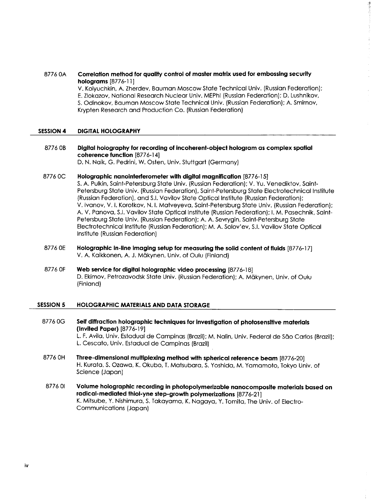#### 8776 OA Correlation method for quality control of master matrix used for embossing security holograms [8776-11]

V. Kolyuchkin, A. Zherdev, Bauman Moscow State Technical Univ. (Russian Federation); E. Zlokazov, National Research Nuclear Univ. MEPhl (Russian Federation); D. Lushnikov, S. Odinokov, Bauman Moscow State Technical Univ. (Russian Federation); A. Smirnov, Krypten Research and Production Co. (Russian Federation)

Ì.

#### SESSION 4 DIGITAL HOLOGRAPHY

8776 OB Digital holography for recording of incoherent-object hologram as complex spatial coherence function [8776-14] D. N. Naik, G. Pedrini, W. Osten, Univ. Stuttgart (Germany)

8776 OC Holographic nanointerferometer with digital magnification [8776-15] S. A. Pulkin, Saint-Petersburg State Univ. (Russian Federation); V. Yu. Venediktov, Saint-Petersburg State Univ. (Russian Federation), Saint-Petersburg State Electrotechnical Institute (Russian Federation), and S.I. Vavilov State Optical Institute (Russian Federation); V. Ivanov, V. I. Korotkov, N. I. Matveyeva, Saint-Petersburg State Univ. (Russian Federation); A. V. Panova, S.I. Vavilov State Optical Institute (Russian Federation); I. M. Pasechnik, Saint-Petersburg State Univ. (Russian Federation); A. A. Sevrygin, Saint-Petersburg State Electrotechnical Institute (Russian Federation); M. A. Solov'ev, S.I. Vavilov State Optical Institute (Russian Federation)

- 8776 OE Holographic in-line imaging setup for measuring the solid content of fluids [8776-17] V. A. Kaikkonen, A. J. Mäkynen, Univ. of Oulu (Finland)
- <sup>8776</sup> OF Web service for digital holographic video processing [8776-18] D. Ekimov, Petrozavodsk State Univ. (Russian Federation); A. Makynen, Univ. of Oulu (Finland)

#### SESSION <sup>5</sup> HOLOGRAPHIC MATERIALS AND DATA STORAGE

- 8776 OG Self diffraction holographic techniques for investigation of photosensitive materials (Invited Paper) [8776-19] L. F. Avila, Univ. Estadual de Campinas (Brazil); M. Nalin, Univ. Federal de São Carlos (Brazil); L. Cescato, Univ. Estadual de Campinas (Brazil)
- 8776 OH Three-dimensional multiplexing method with spherical reference beam [8776-20] H. Kurata, S. Ozawa, K. Okubo, T. Matsubara, S. Yoshida, M. Yamamoto, Tokyo Univ. of Science (Japan)
- 8776 01 Volume holographic recording in photopolymerizable nanocomposite materials based on radical-mediated thiol-yne step-growth polymerizations [8776-21] K. Mitsube, Y. Nishimura, S. Takayama, K. Nagaya, Y. Tomita, The Univ. of Electro-Communications (Japan)